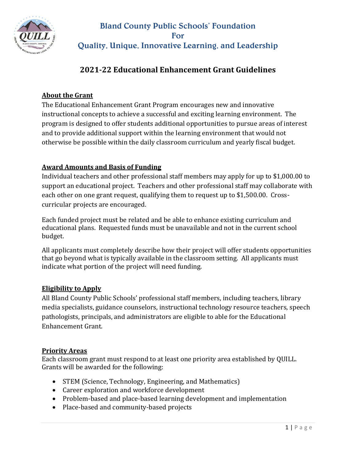

# Bland County Public Schools' Foundation For Quality, Unique, Innovative Learning, and Leadership

# **2021-22 Educational Enhancement Grant Guidelines**

## **About the Grant**

The Educational Enhancement Grant Program encourages new and innovative instructional concepts to achieve a successful and exciting learning environment. The program is designed to offer students additional opportunities to pursue areas of interest and to provide additional support within the learning environment that would not otherwise be possible within the daily classroom curriculum and yearly fiscal budget.

#### **Award Amounts and Basis of Funding**

Individual teachers and other professional staff members may apply for up to \$1,000.00 to support an educational project. Teachers and other professional staff may collaborate with each other on one grant request, qualifying them to request up to \$1,500.00. Crosscurricular projects are encouraged.

Each funded project must be related and be able to enhance existing curriculum and educational plans. Requested funds must be unavailable and not in the current school budget.

All applicants must completely describe how their project will offer students opportunities that go beyond what is typically available in the classroom setting. All applicants must indicate what portion of the project will need funding.

## **Eligibility to Apply**

All Bland County Public Schools' professional staff members, including teachers, library media specialists, guidance counselors, instructional technology resource teachers, speech pathologists, principals, and administrators are eligible to able for the Educational Enhancement Grant.

#### **Priority Areas**

Each classroom grant must respond to at least one priority area established by QUILL. Grants will be awarded for the following:

- STEM (Science, Technology, Engineering, and Mathematics)
- Career exploration and workforce development
- Problem-based and place-based learning development and implementation
- Place-based and community-based projects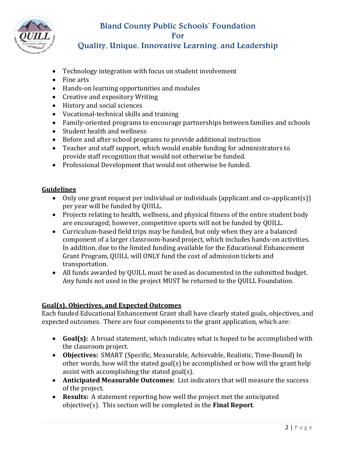

# Bland County Public Schools' Foundation For

# Quality, Unique, Innovative Learning, and Leadership

- Technology integration with focus on student involvement
- Fine arts
- Hands-on learning opportunities and modules
- Creative and expository Writing
- History and social sciences
- Vocational-technical skills and training
- Family-oriented programs to encourage partnerships between families and schools
- Student health and wellness
- Before and after school programs to provide additional instruction
- Teacher and staff support, which would enable funding for administrators to provide staff recognition that would not otherwise be funded.
- Professional Development that would not otherwise be funded.

#### **Guidelines**

- Only one grant request per individual or individuals (applicant and co-applicant(s)) per year will be funded by QUILL.
- Projects relating to health, wellness, and physical fitness of the entire student body are encouraged; however, competitive sports will not be funded by QUILL.
- Curriculum-based field trips may be funded, but only when they are a balanced component of a larger classroom-based project, which includes hands-on activities. In addition, due to the limited funding available for the Educational Enhancement Grant Program, QUILL will ONLY fund the cost of admission tickets and transportation.
- All funds awarded by QUILL must be used as documented in the submitted budget. Any funds not used in the project MUST be returned to the QUILL Foundation.

#### **Goal(s), Objectives, and Expected Outcomes**

Each funded Educational Enhancement Grant shall have clearly stated goals, objectives, and expected outcomes. There are four components to the grant application, which are:

- **Goal(s):** A broad statement, which indicates what is hoped to be accomplished with the classroom project.
- **Objectives:** SMART (Specific, Measurable, Achievable, Realistic, Time-Bound) In other words, how will the stated goal(s) be accomplished or how will the grant help assist with accomplishing the stated goal(s).
- **Anticipated Measurable Outcomes:** List indicators that will measure the success of the project.
- **Results:** A statement reporting how well the project met the anticipated objective(s). This section will be completed in the **Final Report**.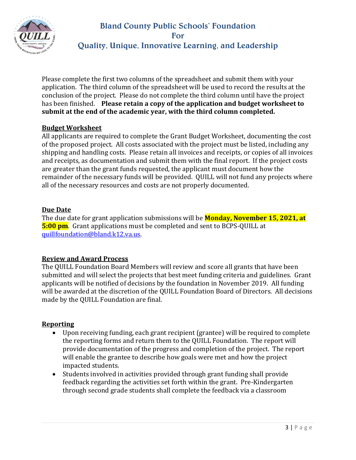

# Bland County Public Schools' Foundation For Quality, Unique, Innovative Learning, and Leadership

Please complete the first two columns of the spreadsheet and submit them with your application. The third column of the spreadsheet will be used to record the results at the conclusion of the project. Please do not complete the third column until have the project has been finished. **Please retain a copy of the application and budget worksheet to submit at the end of the academic year, with the third column completed.**

#### **Budget Worksheet**

All applicants are required to complete the Grant Budget Worksheet, documenting the cost of the proposed project. All costs associated with the project must be listed, including any shipping and handling costs. Please retain all invoices and receipts, or copies of all invoices and receipts, as documentation and submit them with the final report. If the project costs are greater than the grant funds requested, the applicant must document how the remainder of the necessary funds will be provided. QUILL will not fund any projects where all of the necessary resources and costs are not properly documented.

#### **Due Date**

The due date for grant application submissions will be **Monday, November 15, 2021, at 5:00 pm**. Grant applications must be completed and sent to BCPS-QUILL at [quillfoundation@bland.k12.va.us.](mailto:quillfoundation@bland.k12.va.us)

## **Review and Award Process**

The QUILL Foundation Board Members will review and score all grants that have been submitted and will select the projects that best meet funding criteria and guidelines. Grant applicants will be notified of decisions by the foundation in November 2019. All funding will be awarded at the discretion of the QUILL Foundation Board of Directors. All decisions made by the QUILL Foundation are final.

## **Reporting**

- Upon receiving funding, each grant recipient (grantee) will be required to complete the reporting forms and return them to the QUILL Foundation. The report will provide documentation of the progress and completion of the project. The report will enable the grantee to describe how goals were met and how the project impacted students.
- Students involved in activities provided through grant funding shall provide feedback regarding the activities set forth within the grant. Pre-Kindergarten through second grade students shall complete the feedback via a classroom